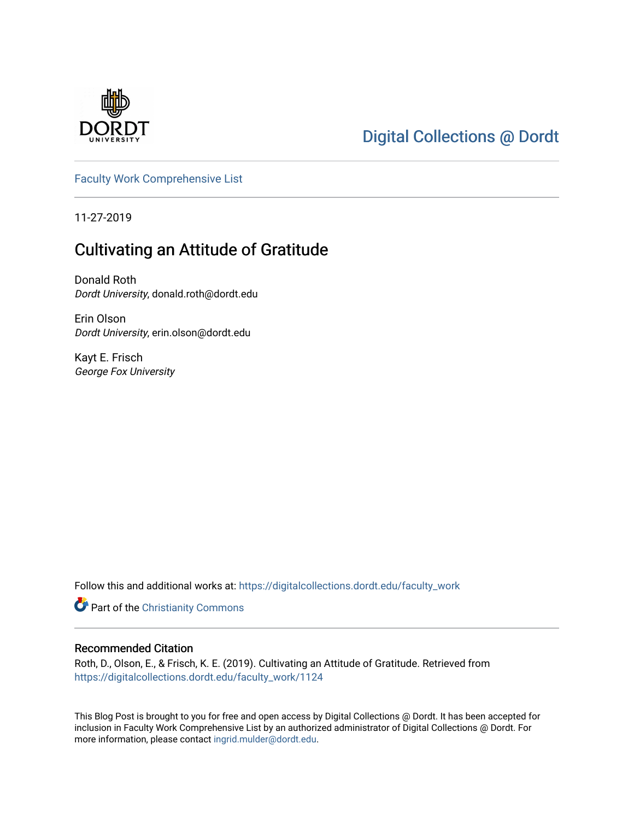

# [Digital Collections @ Dordt](https://digitalcollections.dordt.edu/)

[Faculty Work Comprehensive List](https://digitalcollections.dordt.edu/faculty_work)

11-27-2019

# Cultivating an Attitude of Gratitude

Donald Roth Dordt University, donald.roth@dordt.edu

Erin Olson Dordt University, erin.olson@dordt.edu

Kayt E. Frisch George Fox University

Follow this and additional works at: [https://digitalcollections.dordt.edu/faculty\\_work](https://digitalcollections.dordt.edu/faculty_work?utm_source=digitalcollections.dordt.edu%2Ffaculty_work%2F1124&utm_medium=PDF&utm_campaign=PDFCoverPages) 

Part of the [Christianity Commons](http://network.bepress.com/hgg/discipline/1181?utm_source=digitalcollections.dordt.edu%2Ffaculty_work%2F1124&utm_medium=PDF&utm_campaign=PDFCoverPages) 

#### Recommended Citation

Roth, D., Olson, E., & Frisch, K. E. (2019). Cultivating an Attitude of Gratitude. Retrieved from [https://digitalcollections.dordt.edu/faculty\\_work/1124](https://digitalcollections.dordt.edu/faculty_work/1124?utm_source=digitalcollections.dordt.edu%2Ffaculty_work%2F1124&utm_medium=PDF&utm_campaign=PDFCoverPages)

This Blog Post is brought to you for free and open access by Digital Collections @ Dordt. It has been accepted for inclusion in Faculty Work Comprehensive List by an authorized administrator of Digital Collections @ Dordt. For more information, please contact [ingrid.mulder@dordt.edu.](mailto:ingrid.mulder@dordt.edu)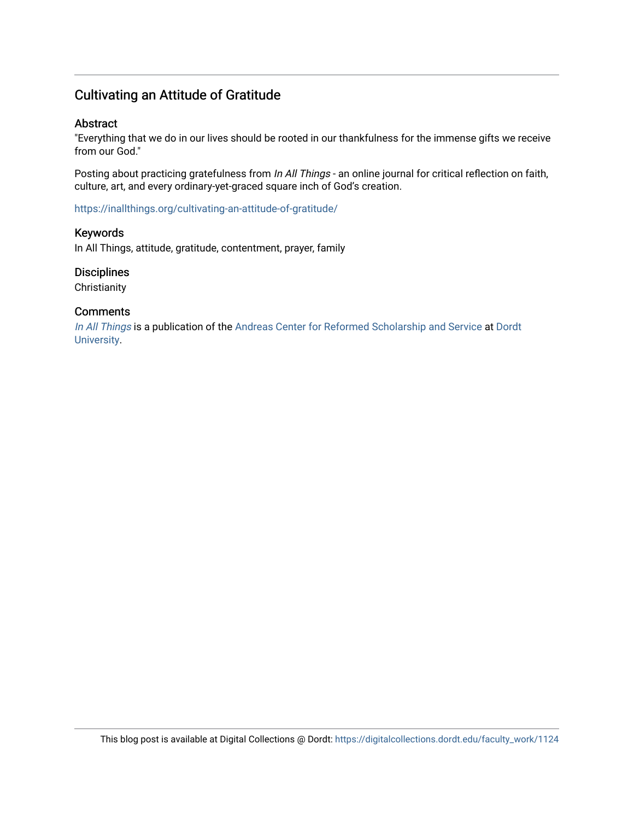## Cultivating an Attitude of Gratitude

#### Abstract

"Everything that we do in our lives should be rooted in our thankfulness for the immense gifts we receive from our God."

Posting about practicing gratefulness from In All Things - an online journal for critical reflection on faith, culture, art, and every ordinary-yet-graced square inch of God's creation.

<https://inallthings.org/cultivating-an-attitude-of-gratitude/>

#### Keywords

In All Things, attitude, gratitude, contentment, prayer, family

#### **Disciplines**

**Christianity** 

#### **Comments**

[In All Things](http://inallthings.org/) is a publication of the [Andreas Center for Reformed Scholarship and Service](http://www.dordt.edu/services_support/andreas_center/) at Dordt [University](http://www.dordt.edu/).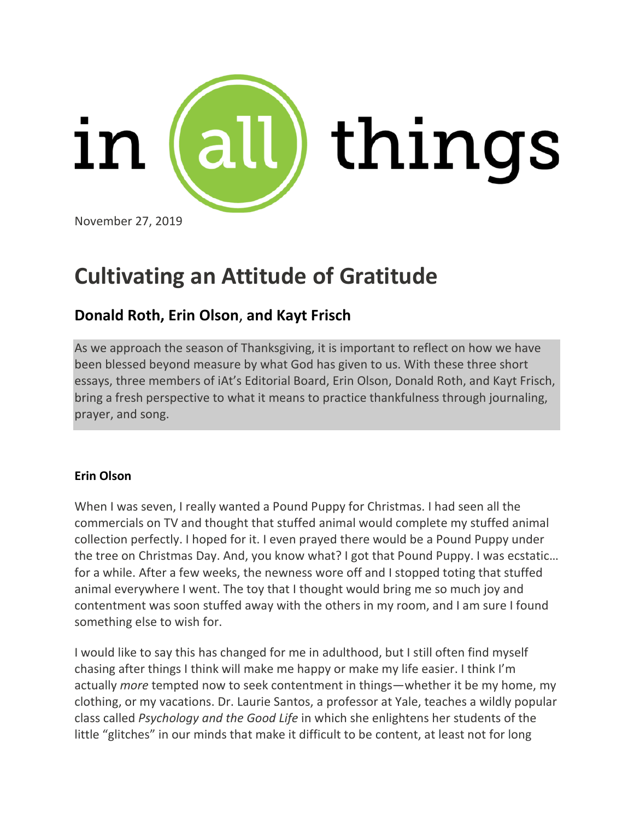

# **Cultivating an Attitude of Gratitude**

# **[Donald](https://inallthings.org/contributor/donald-roth/) Roth, Erin [Olson](https://inallthings.org/contributor/erin-olson/)**, **and Kayt [Frisch](https://inallthings.org/contributor/kayt-frisch/)**

As we approach the season of Thanksgiving, it is important to reflect on how we have been blessed beyond measure by what God has given to us. With these three short essays, three members of iAt's Editorial Board, Erin Olson, Donald Roth, and Kayt Frisch, bring a fresh perspective to what it means to practice thankfulness through journaling, prayer, and song.

## **Erin Olson**

When I was seven, I really wanted a Pound Puppy for Christmas. I had seen all the commercials on TV and thought that stuffed animal would complete my stuffed animal collection perfectly. I hoped for it. I even prayed there would be a Pound Puppy under the tree on Christmas Day. And, you know what? I got that Pound Puppy. I was ecstatic… for a while. After a few weeks, the newness wore off and I stopped toting that stuffed animal everywhere I went. The toy that I thought would bring me so much joy and contentment was soon stuffed away with the others in my room, and I am sure I found something else to wish for.

I would like to say this has changed for me in adulthood, but I still often find myself chasing after things I think will make me happy or make my life easier. I think I'm actually *more* tempted now to seek contentment in things—whether it be my home, my clothing, or my vacations. Dr. Laurie Santos, a professor at Yale, teaches a wildly popular class called *Psychology and the Good Life* in which she enlightens her students of the little "glitches" in our minds that make it difficult to be content, at least not for long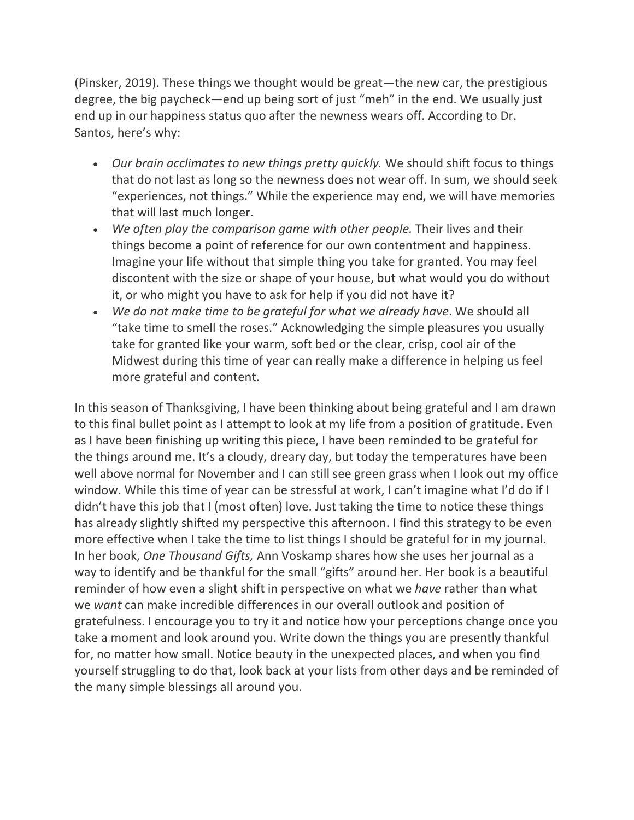(Pinsker, 2019). These things we thought would be great—the new car, the prestigious degree, the big paycheck—end up being sort of just "meh" in the end. We usually just end up in our happiness status quo after the newness wears off. According to Dr. Santos, here's why:

- *Our brain acclimates to new things pretty quickly.* We should shift focus to things that do not last as long so the newness does not wear off. In sum, we should seek "experiences, not things." While the experience may end, we will have memories that will last much longer.
- *We often play the comparison game with other people.* Their lives and their things become a point of reference for our own contentment and happiness. Imagine your life without that simple thing you take for granted. You may feel discontent with the size or shape of your house, but what would you do without it, or who might you have to ask for help if you did not have it?
- *We do not make time to be grateful for what we already have*. We should all "take time to smell the roses." Acknowledging the simple pleasures you usually take for granted like your warm, soft bed or the clear, crisp, cool air of the Midwest during this time of year can really make a difference in helping us feel more grateful and content.

In this season of Thanksgiving, I have been thinking about being grateful and I am drawn to this final bullet point as I attempt to look at my life from a position of gratitude. Even as I have been finishing up writing this piece, I have been reminded to be grateful for the things around me. It's a cloudy, dreary day, but today the temperatures have been well above normal for November and I can still see green grass when I look out my office window. While this time of year can be stressful at work, I can't imagine what I'd do if I didn't have this job that I (most often) love. Just taking the time to notice these things has already slightly shifted my perspective this afternoon. I find this strategy to be even more effective when I take the time to list things I should be grateful for in my journal. In her book, *One Thousand Gifts,* Ann Voskamp shares how she uses her journal as a way to identify and be thankful for the small "gifts" around her. Her book is a beautiful reminder of how even a slight shift in perspective on what we *have* rather than what we *want* can make incredible differences in our overall outlook and position of gratefulness. I encourage you to try it and notice how your perceptions change once you take a moment and look around you. Write down the things you are presently thankful for, no matter how small. Notice beauty in the unexpected places, and when you find yourself struggling to do that, look back at your lists from other days and be reminded of the many simple blessings all around you.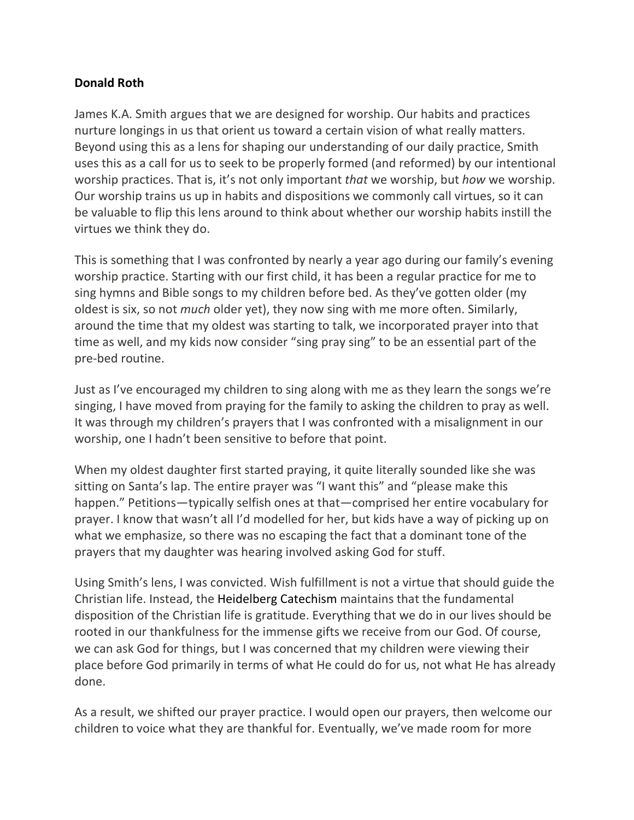### **Donald Roth**

James K.A. Smith argues that we are designed for worship. Our habits and practices nurture longings in us that orient us toward a certain vision of what really matters. Beyond using this as a lens for shaping our understanding of our daily practice, Smith uses this as a call for us to seek to be properly formed (and reformed) by our intentional worship practices. That is, it's not only important *that* we worship, but *how* we worship. Our worship trains us up in habits and dispositions we commonly call virtues, so it can be valuable to flip this lens around to think about whether our worship habits instill the virtues we think they do.

This is something that I was confronted by nearly a year ago during our family's evening worship practice. Starting with our first child, it has been a regular practice for me to sing hymns and Bible songs to my children before bed. As they've gotten older (my oldest is six, so not *much* older yet), they now sing with me more often. Similarly, around the time that my oldest was starting to talk, we incorporated prayer into that time as well, and my kids now consider "sing pray sing" to be an essential part of the pre-bed routine.

Just as I've encouraged my children to sing along with me as they learn the songs we're singing, I have moved from praying for the family to asking the children to pray as well. It was through my children's prayers that I was confronted with a misalignment in our worship, one I hadn't been sensitive to before that point.

When my oldest daughter first started praying, it quite literally sounded like she was sitting on Santa's lap. The entire prayer was "I want this" and "please make this happen." Petitions—typically selfish ones at that—comprised her entire vocabulary for prayer. I know that wasn't all I'd modelled for her, but kids have a way of picking up on what we emphasize, so there was no escaping the fact that a dominant tone of the prayers that my daughter was hearing involved asking God for stuff.

Using Smith's lens, I was convicted. Wish fulfillment is not a virtue that should guide the Christian life. Instead, the [Heidelberg](https://threeforms.org/heidelberg-catechism/) Catechism maintains that the fundamental disposition of the Christian life is gratitude. Everything that we do in our lives should be rooted in our thankfulness for the immense gifts we receive from our God. Of course, we can ask God for things, but I was concerned that my children were viewing their place before God primarily in terms of what He could do for us, not what He has already done.

As a result, we shifted our prayer practice. I would open our prayers, then welcome our children to voice what they are thankful for. Eventually, we've made room for more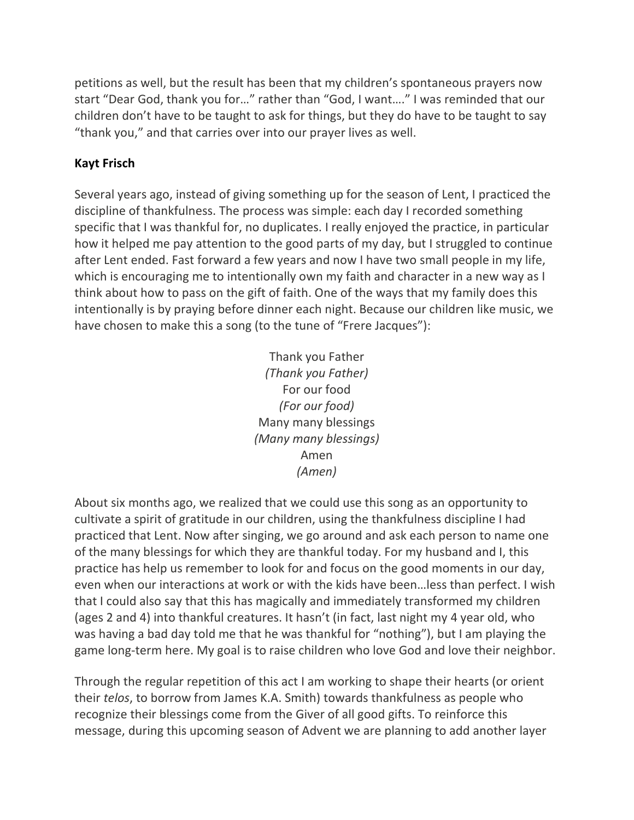petitions as well, but the result has been that my children's spontaneous prayers now start "Dear God, thank you for…" rather than "God, I want…." I was reminded that our children don't have to be taught to ask for things, but they do have to be taught to say "thank you," and that carries over into our prayer lives as well.

## **Kayt Frisch**

Several years ago, instead of giving something up for the season of Lent, I practiced the discipline of thankfulness. The process was simple: each day I recorded something specific that I was thankful for, no duplicates. I really enjoyed the practice, in particular how it helped me pay attention to the good parts of my day, but I struggled to continue after Lent ended. Fast forward a few years and now I have two small people in my life, which is encouraging me to intentionally own my faith and character in a new way as I think about how to pass on the gift of faith. One of the ways that my family does this intentionally is by praying before dinner each night. Because our children like music, we have chosen to make this a song (to the tune of "Frere Jacques"):

> Thank you Father *(Thank you Father)* For our food *(For our food)* Many many blessings *(Many many blessings)* Amen *(Amen)*

About six months ago, we realized that we could use this song as an opportunity to cultivate a spirit of gratitude in our children, using the thankfulness discipline I had practiced that Lent. Now after singing, we go around and ask each person to name one of the many blessings for which they are thankful today. For my husband and I, this practice has help us remember to look for and focus on the good moments in our day, even when our interactions at work or with the kids have been…less than perfect. I wish that I could also say that this has magically and immediately transformed my children (ages 2 and 4) into thankful creatures. It hasn't (in fact, last night my 4 year old, who was having a bad day told me that he was thankful for "nothing"), but I am playing the game long-term here. My goal is to raise children who love God and love their neighbor.

Through the regular repetition of this act I am working to shape their hearts (or orient their *telos*, to borrow from James K.A. Smith) towards thankfulness as people who recognize their blessings come from the Giver of all good gifts. To reinforce this message, during this upcoming season of Advent we are planning to add another layer